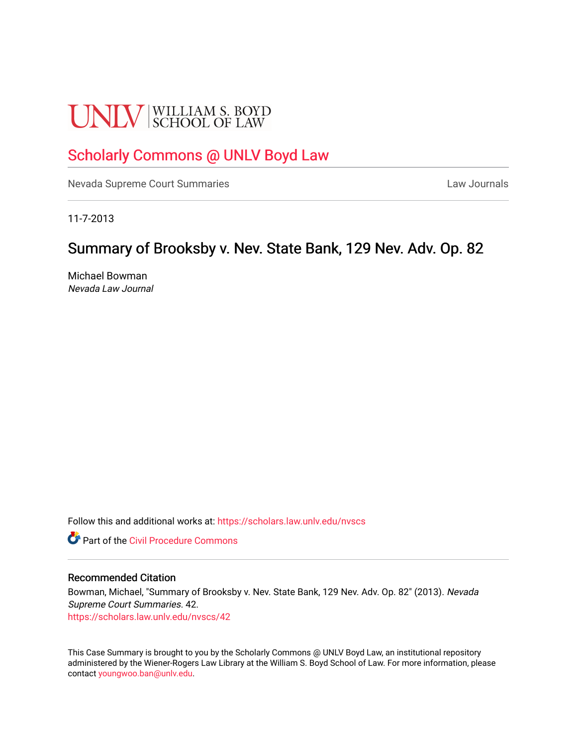# **UNLV** SCHOOL OF LAW

## [Scholarly Commons @ UNLV Boyd Law](https://scholars.law.unlv.edu/)

[Nevada Supreme Court Summaries](https://scholars.law.unlv.edu/nvscs) **Law Journals** Law Journals

11-7-2013

### Summary of Brooksby v. Nev. State Bank, 129 Nev. Adv. Op. 82

Michael Bowman Nevada Law Journal

Follow this and additional works at: [https://scholars.law.unlv.edu/nvscs](https://scholars.law.unlv.edu/nvscs?utm_source=scholars.law.unlv.edu%2Fnvscs%2F42&utm_medium=PDF&utm_campaign=PDFCoverPages)

**C** Part of the Civil Procedure Commons

#### Recommended Citation

Bowman, Michael, "Summary of Brooksby v. Nev. State Bank, 129 Nev. Adv. Op. 82" (2013). Nevada Supreme Court Summaries. 42. [https://scholars.law.unlv.edu/nvscs/42](https://scholars.law.unlv.edu/nvscs/42?utm_source=scholars.law.unlv.edu%2Fnvscs%2F42&utm_medium=PDF&utm_campaign=PDFCoverPages) 

This Case Summary is brought to you by the Scholarly Commons @ UNLV Boyd Law, an institutional repository administered by the Wiener-Rogers Law Library at the William S. Boyd School of Law. For more information, please contact [youngwoo.ban@unlv.edu](mailto:youngwoo.ban@unlv.edu).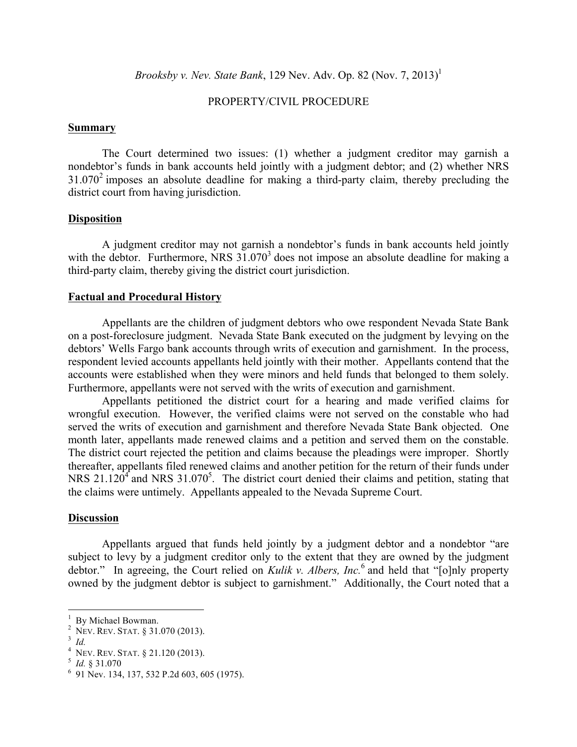*Brooksby v. Nev. State Bank*, 129 Nev. Adv. Op. 82 (Nov. 7, 2013)<sup>1</sup>

#### PROPERTY/CIVIL PROCEDURE

#### **Summary**

The Court determined two issues: (1) whether a judgment creditor may garnish a nondebtor's funds in bank accounts held jointly with a judgment debtor; and (2) whether NRS  $31.070<sup>2</sup>$  imposes an absolute deadline for making a third-party claim, thereby precluding the district court from having jurisdiction.

#### **Disposition**

A judgment creditor may not garnish a nondebtor's funds in bank accounts held jointly with the debtor. Furthermore, NRS  $31.070<sup>3</sup>$  does not impose an absolute deadline for making a third-party claim, thereby giving the district court jurisdiction.

#### **Factual and Procedural History**

Appellants are the children of judgment debtors who owe respondent Nevada State Bank on a post-foreclosure judgment. Nevada State Bank executed on the judgment by levying on the debtors' Wells Fargo bank accounts through writs of execution and garnishment. In the process, respondent levied accounts appellants held jointly with their mother. Appellants contend that the accounts were established when they were minors and held funds that belonged to them solely. Furthermore, appellants were not served with the writs of execution and garnishment.

Appellants petitioned the district court for a hearing and made verified claims for wrongful execution. However, the verified claims were not served on the constable who had served the writs of execution and garnishment and therefore Nevada State Bank objected. One month later, appellants made renewed claims and a petition and served them on the constable. The district court rejected the petition and claims because the pleadings were improper. Shortly thereafter, appellants filed renewed claims and another petition for the return of their funds under NRS  $21.120<sup>4</sup>$  and NRS  $31.070<sup>5</sup>$ . The district court denied their claims and petition, stating that the claims were untimely. Appellants appealed to the Nevada Supreme Court.

#### **Discussion**

Appellants argued that funds held jointly by a judgment debtor and a nondebtor "are subject to levy by a judgment creditor only to the extent that they are owned by the judgment debtor." In agreeing, the Court relied on *Kulik v. Albers, Inc.*<sup>6</sup> and held that "[o]nly property owned by the judgment debtor is subject to garnishment." Additionally, the Court noted that a

<sup>&</sup>lt;sup>1</sup> By Michael Bowman.<br><sup>2</sup> NEV. REV. STAT. § 31.070 (2013).<br><sup>3</sup> *Id.*<br><sup>4</sup> NEV. REV. STAT. § 21.120 (2013).<br><sup>5</sup> *Id.* § 31.070 <sup>6</sup> 91 Nev. 134, 137, 532 P.2d 603, 605 (1975).